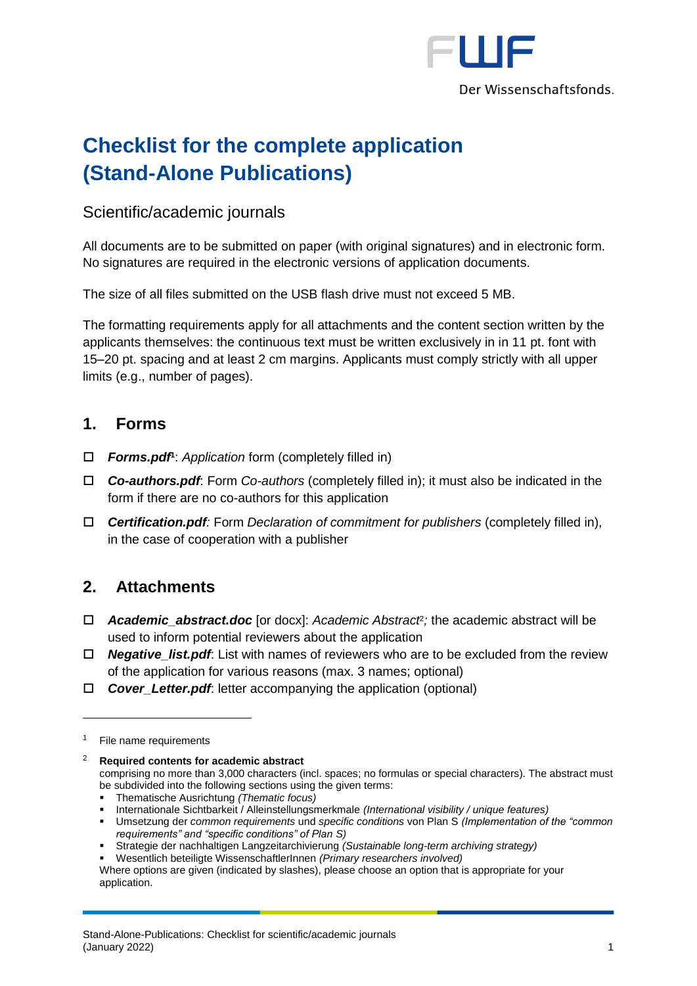

# **Checklist for the complete application (Stand-Alone Publications)**

## Scientific/academic journals

All documents are to be submitted on paper (with original signatures) and in electronic form. No signatures are required in the electronic versions of application documents.

The size of all files submitted on the USB flash drive must not exceed 5 MB.

The formatting requirements apply for all attachments and the content section written by the applicants themselves: the continuous text must be written exclusively in in 11 pt. font with 15–20 pt. spacing and at least 2 cm margins. Applicants must comply strictly with all upper limits (e.g., number of pages).

### **1. Forms**

- *Forms.pdf* **1** : *Application* form (completely filled in)
- *Co-authors.pdf*: Form *Co-authors* (completely filled in); it must also be indicated in the form if there are no co-authors for this application
- *Certification.pdf:* Form *Declaration of commitment for publishers* (completely filled in), in the case of cooperation with a publisher

# **2. Attachments**

- *Academic\_abstract.doc* [or docx]: *Academic Abstract*<sup>2</sup> *;* the academic abstract will be used to inform potential reviewers about the application
- *Negative\_list.pdf*: List with names of reviewers who are to be excluded from the review of the application for various reasons (max. 3 names; optional)
- *Cover\_Letter.pdf*: letter accompanying the application (optional)

1

<sup>2</sup> **Required contents for academic abstract**

comprising no more than 3,000 characters (incl. spaces; no formulas or special characters). The abstract must be subdivided into the following sections using the given terms:

- Thematische Ausrichtung *(Thematic focus)*
- Internationale Sichtbarkeit / Alleinstellungsmerkmale *(International visibility / unique features)*
- Umsetzung der *common requirements* und *specific conditions* von Plan S *(Implementation of the "common requirements" and "specific conditions" of Plan S)*
- Strategie der nachhaltigen Langzeitarchivierung *(Sustainable long-term archiving strategy)*

Wesentlich beteiligte WissenschaftlerInnen *(Primary researchers involved)* 

Where options are given (indicated by slashes), please choose an option that is appropriate for your application.

<sup>&</sup>lt;sup>1</sup> File name requirements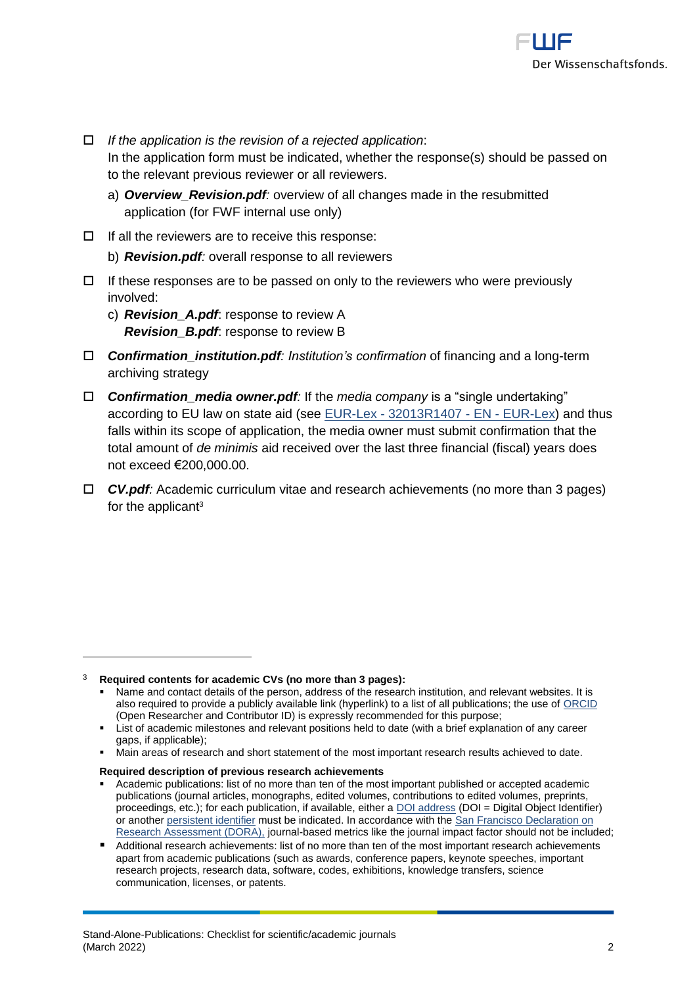

- *If the application is the revision of a rejected application*: In the application form must be indicated, whether the response(s) should be passed on to the relevant previous reviewer or all reviewers.
	- a) *Overview\_Revision.pdf:* overview of all changes made in the resubmitted application (for FWF internal use only)
- $\Box$  If all the reviewers are to receive this response:
	- b) *Revision.pdf:* overall response to all reviewers
- $\Box$  If these responses are to be passed on only to the reviewers who were previously involved:
	- c) *Revision\_A.pdf*: response to review A *Revision\_B.pdf*: response to review B
- *Confirmation\_institution.pdf: Institution's confirmation* of financing and a long-term archiving strategy
- *Confirmation\_media owner.pdf:* If the *media company* is a "single undertaking" according to EU law on state aid (see EUR-Lex - [32013R1407 -](https://eur-lex.europa.eu/legal-content/EN/ALL/?uri=CELEX%3A32013R1407) EN - EUR-Lex) and thus falls within its scope of application, the media owner must submit confirmation that the total amount of *de minimis* aid received over the last three financial (fiscal) years does not exceed €200,000.00.
- *CV.pdf:* Academic curriculum vitae and research achievements (no more than 3 pages) for the applicant<sup>3</sup>

1

#### **Required description of previous research achievements**

Academic publications: list of no more than ten of the most important published or accepted academic publications (journal articles, monographs, edited volumes, contributions to edited volumes, preprints, proceedings, etc.); for each publication, if available, either a DOI [address](http://www.doi.org/) (DOI = Digital Object Identifier) or anothe[r persistent identifier](http://en.wikipedia.org/wiki/Persistent_identifier) must be indicated. In accordance with the [San Francisco Declaration on](https://sfdora.org/signers/)  [Research Assessment \(DORA\),](https://sfdora.org/signers/) journal-based metrics like the journal impact factor should not be included;

<sup>3</sup> **Required contents for academic CVs (no more than 3 pages):**

<sup>▪</sup> Name and contact details of the person, address of the research institution, and relevant websites. It is also required to provide a publicly available link (hyperlink) to a list of all publications; the use of [ORCID](https://orcid.org/) (Open Researcher and Contributor ID) is expressly recommended for this purpose;

**Example 1** List of academic milestones and relevant positions held to date (with a brief explanation of any career gaps, if applicable);

Main areas of research and short statement of the most important research results achieved to date.

<sup>■</sup> Additional research achievements: list of no more than ten of the most important research achievements apart from academic publications (such as awards, conference papers, keynote speeches, important research projects, research data, software, codes, exhibitions, knowledge transfers, science communication, licenses, or patents.